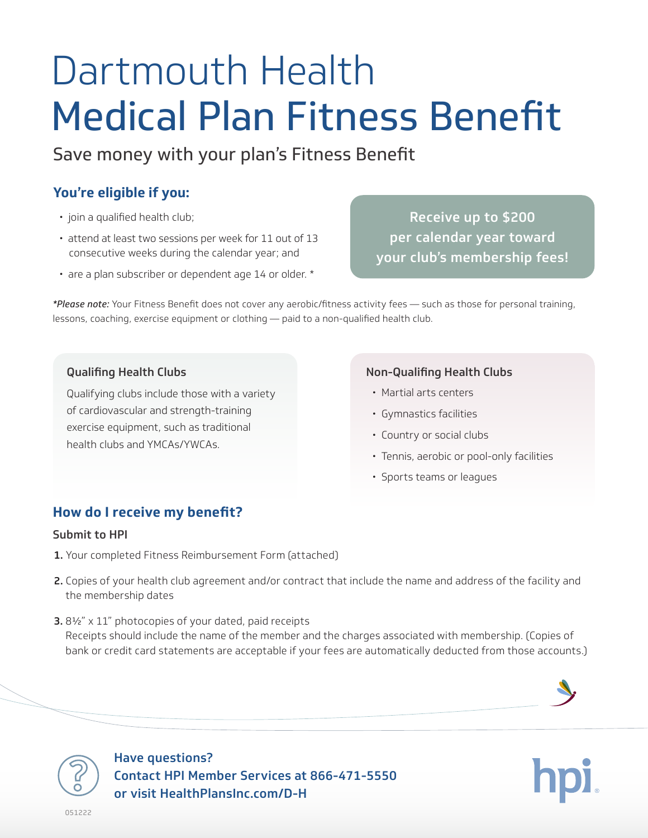# Dartmouth Health Medical Plan Fitness Benefit

Save money with your plan's Fitness Benefit

# **You're eligible if you:**

- join a qualified health club;
- attend at least two sessions per week for 11 out of 13 consecutive weeks during the calendar year; and
- are a plan subscriber or dependent age 14 or older. \*

Receive up to \$200 per calendar year toward your club's membership fees!

*\*Please note:* Your Fitness Benefit does not cover any aerobic/fitness activity fees — such as those for personal training, lessons, coaching, exercise equipment or clothing — paid to a non-qualified health club.

### Qualifing Health Clubs

Qualifying clubs include those with a variety of cardiovascular and strength-training exercise equipment, such as traditional health clubs and YMCAs/YWCAs.

### Non-Qualifing Health Clubs

- Martial arts centers
- Gymnastics facilities
- Country or social clubs
- Tennis, aerobic or pool-only facilities
- Sports teams or leagues

## **How do I receive my benefit?**

#### Submit to HPI

- 1. Your completed Fitness Reimbursement Form (attached)
- 2. Copies of your health club agreement and/or contract that include the name and address of the facility and the membership dates
- 3. 8½" x 11" photocopies of your dated, paid receipts Receipts should include the name of the member and the charges associated with membership. (Copies of bank or credit card statements are acceptable if your fees are automatically deducted from those accounts.)



Have questions? Contact HPI Member Services at 866-471-5550 or visit HealthPlansInc.com/D-H

051222